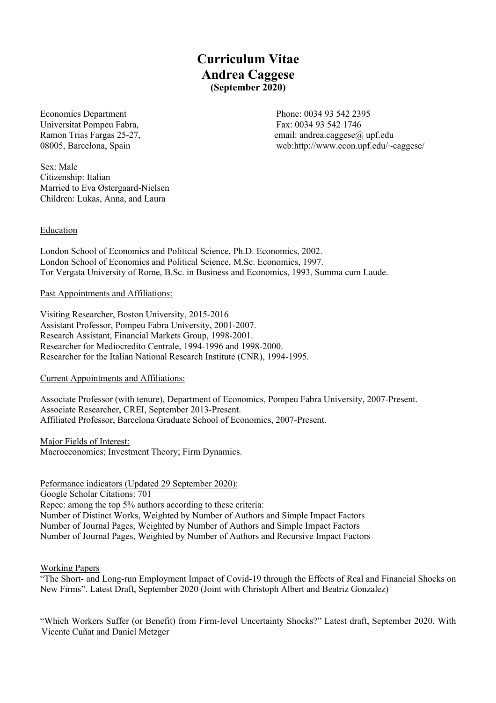**Curriculum Vitae Andrea Caggese (September 2020)**

Economics Department Phone: 0034 93 542 2395 Universitat Pompeu Fabra, Fax: 0034 93 542 1746

Ramon Trias Fargas 25-27, email: andrea.caggese@ upf.edu 08005, Barcelona, Spain web:http://www.econ.upf.edu/~caggese/

Sex: Male Citizenship: Italian Married to Eva Østergaard-Nielsen Children: Lukas, Anna, and Laura

**Education** 

London School of Economics and Political Science, Ph.D. Economics, 2002. London School of Economics and Political Science, M.Sc. Economics, 1997. Tor Vergata University of Rome, B.Sc. in Business and Economics, 1993, Summa cum Laude.

## Past Appointments and Affiliations:

Visiting Researcher, Boston University, 2015-2016 Assistant Professor, Pompeu Fabra University, 2001-2007. Research Assistant, Financial Markets Group, 1998-2001. Researcher for Mediocredito Centrale, 1994-1996 and 1998-2000. Researcher for the Italian National Research Institute (CNR), 1994-1995.

### Current Appointments and Affiliations:

Associate Professor (with tenure), Department of Economics, Pompeu Fabra University, 2007-Present. Associate Researcher, CREI, September 2013-Present. Affiliated Professor, Barcelona Graduate School of Economics, 2007-Present.

Major Fields of Interest: Macroeconomics; Investment Theory; Firm Dynamics.

#### Peformance indicators (Updated 29 September 2020):

Google Scholar Citations: 701 Repec: among the top 5% authors according to these criteria: Number of Distinct Works, Weighted by Number of Authors and Simple Impact Factors Number of Journal Pages, Weighted by Number of Authors and Simple Impact Factors Number of Journal Pages, Weighted by Number of Authors and Recursive Impact Factors

#### Working Papers

"The Short- and Long-run Employment Impact of Covid-19 through the Effects of Real and Financial Shocks on New Firms". Latest Draft, September 2020 (Joint with Christoph Albert and Beatriz Gonzalez)

"Which Workers Suffer (or Benefit) from Firm-level Uncertainty Shocks?" Latest draft, September 2020, With Vicente Cuñat and Daniel Metzger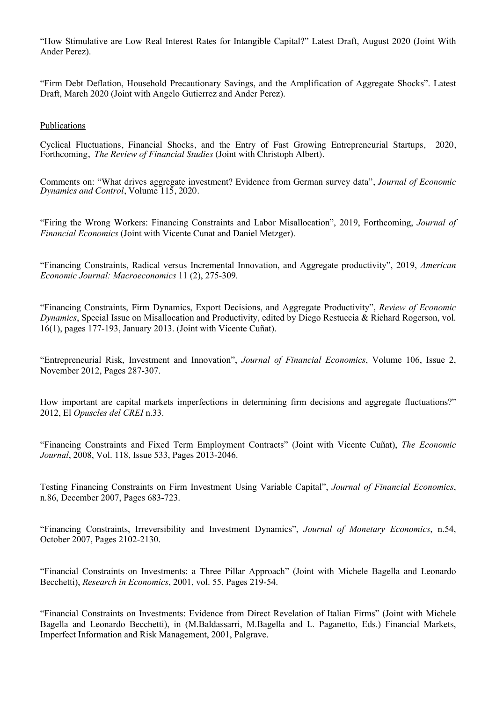"How Stimulative are Low Real Interest Rates for Intangible Capital?" Latest Draft, August 2020 (Joint With Ander Perez).

"Firm Debt Deflation, Household Precautionary Savings, and the Amplification of Aggregate Shocks". Latest Draft, March 2020 (Joint with Angelo Gutierrez and Ander Perez).

#### Publications

Cyclical Fluctuations, Financial Shocks, and the Entry of Fast Growing Entrepreneurial Startups, 2020, Forthcoming, *The Review of Financial Studies* (Joint with Christoph Albert).

Comments on: "What drives aggregate investment? Evidence from German survey data", *Journal of Economic Dynamics and Control*, Volume 115, 2020.

"Firing the Wrong Workers: Financing Constraints and Labor Misallocation", 2019, Forthcoming, *Journal of Financial Economics* (Joint with Vicente Cunat and Daniel Metzger).

"Financing Constraints, Radical versus Incremental Innovation, and Aggregate productivity", 2019, *American Economic Journal: Macroeconomics* 11 (2), 275-309*.*

"Financing Constraints, Firm Dynamics, Export Decisions, and Aggregate Productivity", *Review of Economic Dynamics*, Special Issue on Misallocation and Productivity, edited by Diego Restuccia & Richard Rogerson, vol. 16(1), pages 177-193, January 2013. (Joint with Vicente Cuñat).

"Entrepreneurial Risk, Investment and Innovation", *Journal of Financial Economics*, Volume 106, Issue 2, November 2012, Pages 287-307.

How important are capital markets imperfections in determining firm decisions and aggregate fluctuations?" 2012, El *Opuscles del CREI* n.33.

"Financing Constraints and Fixed Term Employment Contracts" (Joint with Vicente Cuñat), *The Economic Journal*, 2008, Vol. 118, Issue 533, Pages 2013-2046.

Testing Financing Constraints on Firm Investment Using Variable Capital", *Journal of Financial Economics*, n.86, December 2007, Pages 683-723.

"Financing Constraints, Irreversibility and Investment Dynamics", *Journal of Monetary Economics*, n.54, October 2007, Pages 2102-2130.

"Financial Constraints on Investments: a Three Pillar Approach" (Joint with Michele Bagella and Leonardo Becchetti), *Research in Economics*, 2001, vol. 55, Pages 219-54.

"Financial Constraints on Investments: Evidence from Direct Revelation of Italian Firms" (Joint with Michele Bagella and Leonardo Becchetti), in (M.Baldassarri, M.Bagella and L. Paganetto, Eds.) Financial Markets, Imperfect Information and Risk Management, 2001, Palgrave.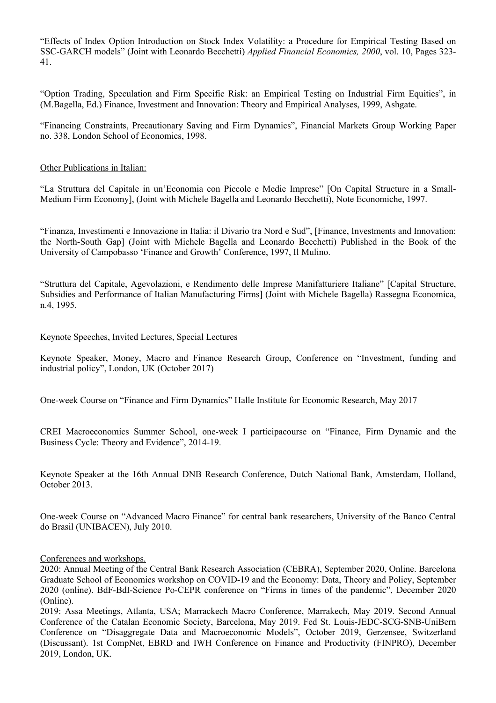"Effects of Index Option Introduction on Stock Index Volatility: a Procedure for Empirical Testing Based on SSC-GARCH models" (Joint with Leonardo Becchetti) *Applied Financial Economics, 2000*, vol. 10, Pages 323- 41.

"Option Trading, Speculation and Firm Specific Risk: an Empirical Testing on Industrial Firm Equities", in (M.Bagella, Ed.) Finance, Investment and Innovation: Theory and Empirical Analyses, 1999, Ashgate.

"Financing Constraints, Precautionary Saving and Firm Dynamics", Financial Markets Group Working Paper no. 338, London School of Economics, 1998.

#### Other Publications in Italian:

"La Struttura del Capitale in un'Economia con Piccole e Medie Imprese" [On Capital Structure in a Small-Medium Firm Economy], (Joint with Michele Bagella and Leonardo Becchetti), Note Economiche, 1997.

"Finanza, Investimenti e Innovazione in Italia: il Divario tra Nord e Sud", [Finance, Investments and Innovation: the North-South Gap] (Joint with Michele Bagella and Leonardo Becchetti) Published in the Book of the University of Campobasso 'Finance and Growth' Conference, 1997, Il Mulino.

"Struttura del Capitale, Agevolazioni, e Rendimento delle Imprese Manifatturiere Italiane" [Capital Structure, Subsidies and Performance of Italian Manufacturing Firms] (Joint with Michele Bagella) Rassegna Economica, n.4, 1995.

#### Keynote Speeches, Invited Lectures, Special Lectures

Keynote Speaker, Money, Macro and Finance Research Group, Conference on "Investment, funding and industrial policy", London, UK (October 2017)

One-week Course on "Finance and Firm Dynamics" Halle Institute for Economic Research, May 2017

CREI Macroeconomics Summer School, one-week I participacourse on "Finance, Firm Dynamic and the Business Cycle: Theory and Evidence", 2014-19.

Keynote Speaker at the 16th Annual DNB Research Conference, Dutch National Bank, Amsterdam, Holland, October 2013.

One-week Course on "Advanced Macro Finance" for central bank researchers, University of the Banco Central do Brasil (UNIBACEN), July 2010.

#### Conferences and workshops.

2020: Annual Meeting of the Central Bank Research Association (CEBRA), September 2020, Online. Barcelona Graduate School of Economics workshop on COVID-19 and the Economy: Data, Theory and Policy, September 2020 (online). BdF-BdI-Science Po-CEPR conference on "Firms in times of the pandemic", December 2020 (Online).

2019: Assa Meetings, Atlanta, USA; Marrackech Macro Conference, Marrakech, May 2019. Second Annual Conference of the Catalan Economic Society, Barcelona, May 2019. Fed St. Louis-JEDC-SCG-SNB-UniBern Conference on "Disaggregate Data and Macroeconomic Models", October 2019, Gerzensee, Switzerland (Discussant). 1st CompNet, EBRD and IWH Conference on Finance and Productivity (FINPRO), December 2019, London, UK.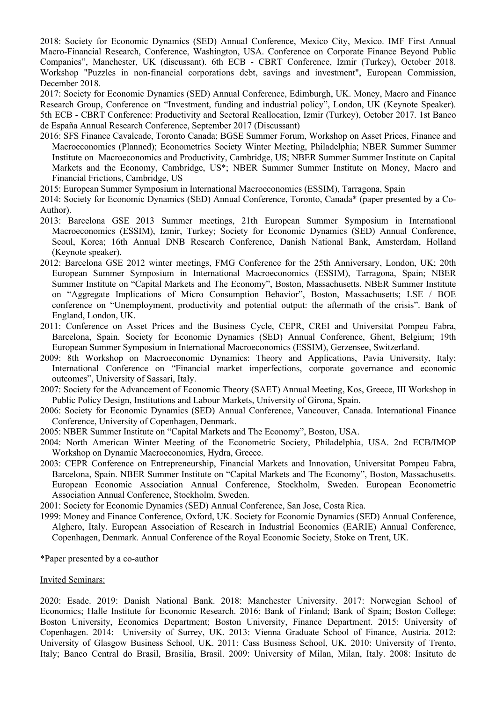2018: Society for Economic Dynamics (SED) Annual Conference, Mexico City, Mexico. IMF First Annual Macro-Financial Research, Conference, Washington, USA. Conference on Corporate Finance Beyond Public Companies", Manchester, UK (discussant). 6th ECB - CBRT Conference, Izmir (Turkey), October 2018. Workshop "Puzzles in non-financial corporations debt, savings and investment", European Commission, December 2018.

2017: Society for Economic Dynamics (SED) Annual Conference, Edimburgh, UK. Money, Macro and Finance Research Group, Conference on "Investment, funding and industrial policy", London, UK (Keynote Speaker). 5th ECB - CBRT Conference: Productivity and Sectoral Reallocation, Izmir (Turkey), October 2017. 1st Banco de España Annual Research Conference, September 2017 (Discussant)

- 2016: SFS Finance Cavalcade, Toronto Canada; BGSE Summer Forum, Workshop on Asset Prices, Finance and Macroeconomics (Planned); Econometrics Society Winter Meeting, Philadelphia; NBER Summer Summer Institute on Macroeconomics and Productivity, Cambridge, US; NBER Summer Summer Institute on Capital Markets and the Economy, Cambridge, US\*; NBER Summer Summer Institute on Money, Macro and Financial Frictions, Cambridge, US
- 2015: European Summer Symposium in International Macroeconomics (ESSIM), Tarragona, Spain
- 2014: Society for Economic Dynamics (SED) Annual Conference, Toronto, Canada\* (paper presented by a Co-Author).
- 2013: Barcelona GSE 2013 Summer meetings, 21th European Summer Symposium in International Macroeconomics (ESSIM), Izmir, Turkey; Society for Economic Dynamics (SED) Annual Conference, Seoul, Korea; 16th Annual DNB Research Conference, Danish National Bank, Amsterdam, Holland (Keynote speaker).
- 2012: Barcelona GSE 2012 winter meetings, FMG Conference for the 25th Anniversary, London, UK; 20th European Summer Symposium in International Macroeconomics (ESSIM), Tarragona, Spain; NBER Summer Institute on "Capital Markets and The Economy", Boston, Massachusetts. NBER Summer Institute on "Aggregate Implications of Micro Consumption Behavior", Boston, Massachusetts; LSE / BOE conference on "Unemployment, productivity and potential output: the aftermath of the crisis". Bank of England, London, UK.
- 2011: Conference on Asset Prices and the Business Cycle, CEPR, CREI and Universitat Pompeu Fabra, Barcelona, Spain. Society for Economic Dynamics (SED) Annual Conference, Ghent, Belgium; 19th European Summer Symposium in International Macroeconomics (ESSIM), Gerzensee, Switzerland.
- 2009: 8th Workshop on Macroeconomic Dynamics: Theory and Applications, Pavia University, Italy; International Conference on "Financial market imperfections, corporate governance and economic outcomes", University of Sassari, Italy.
- 2007: Society for the Advancement of Economic Theory (SAET) Annual Meeting, Kos, Greece, III Workshop in Public Policy Design, Institutions and Labour Markets, University of Girona, Spain.
- 2006: Society for Economic Dynamics (SED) Annual Conference, Vancouver, Canada. International Finance Conference, University of Copenhagen, Denmark.
- 2005: NBER Summer Institute on "Capital Markets and The Economy", Boston, USA.
- 2004: North American Winter Meeting of the Econometric Society, Philadelphia, USA. 2nd ECB/IMOP Workshop on Dynamic Macroeconomics, Hydra, Greece.
- 2003: CEPR Conference on Entrepreneurship, Financial Markets and Innovation, Universitat Pompeu Fabra, Barcelona, Spain. NBER Summer Institute on "Capital Markets and The Economy", Boston, Massachusetts. European Economic Association Annual Conference, Stockholm, Sweden. European Econometric Association Annual Conference, Stockholm, Sweden.
- 2001: Society for Economic Dynamics (SED) Annual Conference, San Jose, Costa Rica.
- 1999: Money and Finance Conference, Oxford, UK. Society for Economic Dynamics (SED) Annual Conference, Alghero, Italy. European Association of Research in Industrial Economics (EARIE) Annual Conference, Copenhagen, Denmark. Annual Conference of the Royal Economic Society, Stoke on Trent, UK.

\*Paper presented by a co-author

## Invited Seminars:

2020: Esade. 2019: Danish National Bank. 2018: Manchester University. 2017: Norwegian School of Economics; Halle Institute for Economic Research. 2016: Bank of Finland; Bank of Spain; Boston College; Boston University, Economics Department; Boston University, Finance Department. 2015: University of Copenhagen. 2014: University of Surrey, UK. 2013: Vienna Graduate School of Finance, Austria. 2012: University of Glasgow Business School, UK. 2011: Cass Business School, UK. 2010: University of Trento, Italy; Banco Central do Brasil, Brasilia, Brasil. 2009: University of Milan, Milan, Italy. 2008: Insituto de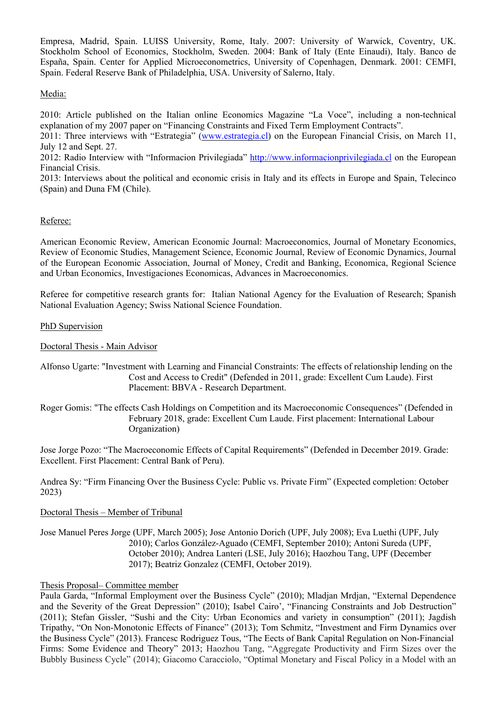Empresa, Madrid, Spain. LUISS University, Rome, Italy. 2007: University of Warwick, Coventry, UK. Stockholm School of Economics, Stockholm, Sweden. 2004: Bank of Italy (Ente Einaudi), Italy. Banco de España, Spain. Center for Applied Microeconometrics, University of Copenhagen, Denmark. 2001: CEMFI, Spain. Federal Reserve Bank of Philadelphia, USA. University of Salerno, Italy.

# Media:

2010: Article published on the Italian online Economics Magazine "La Voce", including a non-technical explanation of my 2007 paper on "Financing Constraints and Fixed Term Employment Contracts".

2011: Three interviews with "Estrategia" (www.estrategia.cl) on the European Financial Crisis, on March 11, July 12 and Sept. 27.

2012: Radio Interview with "Informacion Privilegiada" http://www.informacionprivilegiada.cl on the European Financial Crisis.

2013: Interviews about the political and economic crisis in Italy and its effects in Europe and Spain, Telecinco (Spain) and Duna FM (Chile).

# Referee:

American Economic Review, American Economic Journal: Macroeconomics, Journal of Monetary Economics, Review of Economic Studies, Management Science, Economic Journal, Review of Economic Dynamics, Journal of the European Economic Association, Journal of Money, Credit and Banking, Economica, Regional Science and Urban Economics, Investigaciones Economicas, Advances in Macroeconomics.

Referee for competitive research grants for: Italian National Agency for the Evaluation of Research; Spanish National Evaluation Agency; Swiss National Science Foundation.

## PhD Supervision

## Doctoral Thesis - Main Advisor

Alfonso Ugarte: "Investment with Learning and Financial Constraints: The effects of relationship lending on the Cost and Access to Credit" (Defended in 2011, grade: Excellent Cum Laude). First Placement: BBVA - Research Department.

Roger Gomis: "The effects Cash Holdings on Competition and its Macroeconomic Consequences" (Defended in February 2018, grade: Excellent Cum Laude. First placement: International Labour Organization)

Jose Jorge Pozo: "The Macroeconomic Effects of Capital Requirements" (Defended in December 2019. Grade: Excellent. First Placement: Central Bank of Peru).

Andrea Sy: "Firm Financing Over the Business Cycle: Public vs. Private Firm" (Expected completion: October 2023)

# Doctoral Thesis – Member of Tribunal

Jose Manuel Peres Jorge (UPF, March 2005); Jose Antonio Dorich (UPF, July 2008); Eva Luethi (UPF, July 2010); Carlos González-Aguado (CEMFI, September 2010); Antoni Sureda (UPF, October 2010); Andrea Lanteri (LSE, July 2016); Haozhou Tang, UPF (December 2017); Beatriz Gonzalez (CEMFI, October 2019).

# Thesis Proposal– Committee member

Paula Garda, "Informal Employment over the Business Cycle" (2010); Mladjan Mrdjan, "External Dependence and the Severity of the Great Depression" (2010); Isabel Cairo', "Financing Constraints and Job Destruction" (2011); Stefan Gissler, "Sushi and the City: Urban Economics and variety in consumption" (2011); Jagdish Tripathy, "On Non-Monotonic Effects of Finance" (2013); Tom Schmitz, "Investment and Firm Dynamics over the Business Cycle" (2013). Francesc Rodriguez Tous, "The Eects of Bank Capital Regulation on Non-Financial Firms: Some Evidence and Theory" 2013; Haozhou Tang, "Aggregate Productivity and Firm Sizes over the Bubbly Business Cycle" (2014); Giacomo Caracciolo, "Optimal Monetary and Fiscal Policy in a Model with an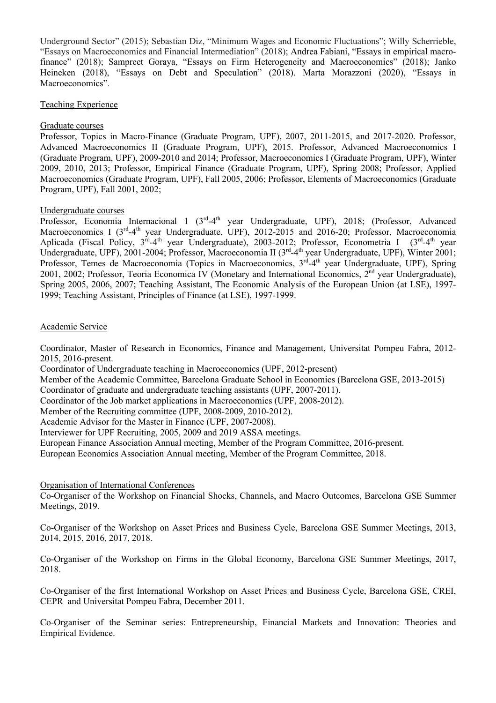Underground Sector" (2015); Sebastian Diz, "Minimum Wages and Economic Fluctuations"; Willy Scherrieble, "Essays on Macroeconomics and Financial Intermediation" (2018); Andrea Fabiani, "Essays in empirical macrofinance" (2018); Sampreet Goraya, "Essays on Firm Heterogeneity and Macroeconomics" (2018); Janko Heineken (2018), "Essays on Debt and Speculation" (2018). Marta Morazzoni (2020), "Essays in Macroeconomics".

## Teaching Experience

## Graduate courses

Professor, Topics in Macro-Finance (Graduate Program, UPF), 2007, 2011-2015, and 2017-2020. Professor, Advanced Macroeconomics II (Graduate Program, UPF), 2015. Professor, Advanced Macroeconomics I (Graduate Program, UPF), 2009-2010 and 2014; Professor, Macroeconomics I (Graduate Program, UPF), Winter 2009, 2010, 2013; Professor, Empirical Finance (Graduate Program, UPF), Spring 2008; Professor, Applied Macroeconomics (Graduate Program, UPF), Fall 2005, 2006; Professor, Elements of Macroeconomics (Graduate Program, UPF), Fall 2001, 2002;

## Undergraduate courses

Professor, Economia Internacional 1 (3<sup>rd</sup>-4<sup>th</sup> year Undergraduate, UPF), 2018; (Professor, Advanced Macroeconomics I (3<sup>rd</sup>-4<sup>th</sup> year Undergraduate, UPF), 2012-2015 and 2016-20; Professor, Macroeconomia Aplicada (Fiscal Policy, 3<sup>rd</sup>-4<sup>th</sup> year Undergraduate), 2003-2012; Professor, Econometria I (3<sup>rd</sup>-4<sup>th</sup> year Undergraduate, UPF), 2001-2004; Professor, Macroeconomia II (3<sup>rd</sup>-4<sup>th</sup> year Undergraduate, UPF), Winter 2001; Professor, Temes de Macroeconomia (Topics in Macroeconomics, 3<sup>rd</sup>-4<sup>th</sup> year Undergraduate, UPF), Spring 2001, 2002; Professor, Teoria Economica IV (Monetary and International Economics,  $2^{nd}$  year Undergraduate), Spring 2005, 2006, 2007; Teaching Assistant, The Economic Analysis of the European Union (at LSE), 1997- 1999; Teaching Assistant, Principles of Finance (at LSE), 1997-1999.

## Academic Service

Coordinator, Master of Research in Economics, Finance and Management, Universitat Pompeu Fabra, 2012- 2015, 2016-present.

Coordinator of Undergraduate teaching in Macroeconomics (UPF, 2012-present)

Member of the Academic Committee, Barcelona Graduate School in Economics (Barcelona GSE, 2013-2015)

Coordinator of graduate and undergraduate teaching assistants (UPF, 2007-2011).

Coordinator of the Job market applications in Macroeconomics (UPF, 2008-2012).

Member of the Recruiting committee (UPF, 2008-2009, 2010-2012).

Academic Advisor for the Master in Finance (UPF, 2007-2008).

Interviewer for UPF Recruiting, 2005, 2009 and 2019 ASSA meetings.

European Finance Association Annual meeting, Member of the Program Committee, 2016-present.

European Economics Association Annual meeting, Member of the Program Committee, 2018.

# Organisation of International Conferences

Co-Organiser of the Workshop on Financial Shocks, Channels, and Macro Outcomes, Barcelona GSE Summer Meetings, 2019.

Co-Organiser of the Workshop on Asset Prices and Business Cycle, Barcelona GSE Summer Meetings, 2013, 2014, 2015, 2016, 2017, 2018.

Co-Organiser of the Workshop on Firms in the Global Economy, Barcelona GSE Summer Meetings, 2017, 2018.

Co-Organiser of the first International Workshop on Asset Prices and Business Cycle, Barcelona GSE, CREI, CEPR and Universitat Pompeu Fabra, December 2011.

Co-Organiser of the Seminar series: Entrepreneurship, Financial Markets and Innovation: Theories and Empirical Evidence.